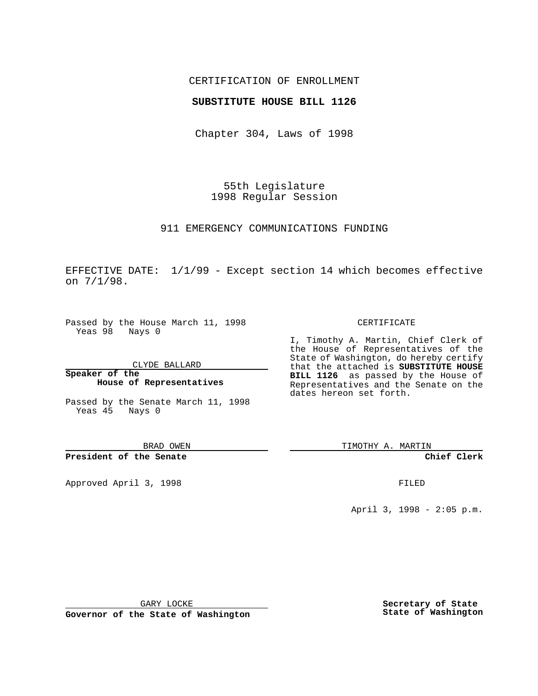## CERTIFICATION OF ENROLLMENT

### **SUBSTITUTE HOUSE BILL 1126**

Chapter 304, Laws of 1998

55th Legislature 1998 Regular Session

911 EMERGENCY COMMUNICATIONS FUNDING

EFFECTIVE DATE: 1/1/99 - Except section 14 which becomes effective on 7/1/98.

Passed by the House March 11, 1998 Yeas 98 Nays 0

CLYDE BALLARD

**Speaker of the House of Representatives**

Passed by the Senate March 11, 1998 Yeas 45 Nays 0

BRAD OWEN

**President of the Senate**

Approved April 3, 1998 **FILED** 

#### CERTIFICATE

I, Timothy A. Martin, Chief Clerk of the House of Representatives of the State of Washington, do hereby certify that the attached is **SUBSTITUTE HOUSE BILL 1126** as passed by the House of Representatives and the Senate on the dates hereon set forth.

TIMOTHY A. MARTIN

**Chief Clerk**

April 3, 1998 - 2:05 p.m.

GARY LOCKE

**Governor of the State of Washington**

**Secretary of State State of Washington**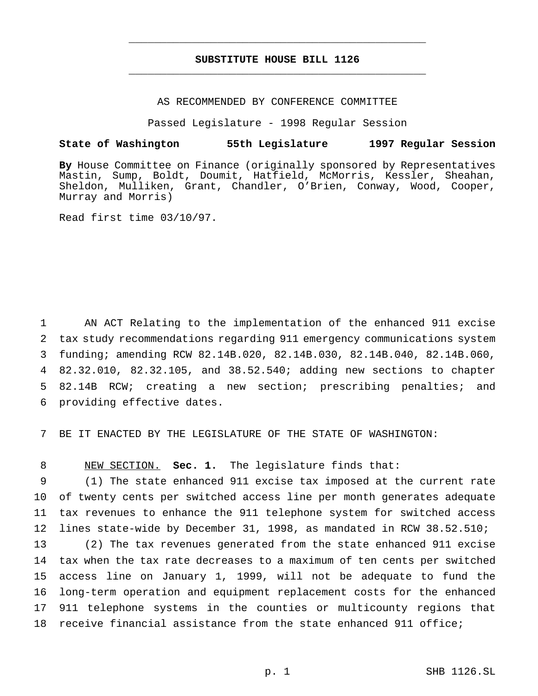# **SUBSTITUTE HOUSE BILL 1126** \_\_\_\_\_\_\_\_\_\_\_\_\_\_\_\_\_\_\_\_\_\_\_\_\_\_\_\_\_\_\_\_\_\_\_\_\_\_\_\_\_\_\_\_\_\_\_

\_\_\_\_\_\_\_\_\_\_\_\_\_\_\_\_\_\_\_\_\_\_\_\_\_\_\_\_\_\_\_\_\_\_\_\_\_\_\_\_\_\_\_\_\_\_\_

### AS RECOMMENDED BY CONFERENCE COMMITTEE

Passed Legislature - 1998 Regular Session

## **State of Washington 55th Legislature 1997 Regular Session**

**By** House Committee on Finance (originally sponsored by Representatives Mastin, Sump, Boldt, Doumit, Hatfield, McMorris, Kessler, Sheahan, Sheldon, Mulliken, Grant, Chandler, O'Brien, Conway, Wood, Cooper, Murray and Morris)

Read first time 03/10/97.

 AN ACT Relating to the implementation of the enhanced 911 excise tax study recommendations regarding 911 emergency communications system funding; amending RCW 82.14B.020, 82.14B.030, 82.14B.040, 82.14B.060, 82.32.010, 82.32.105, and 38.52.540; adding new sections to chapter 82.14B RCW; creating a new section; prescribing penalties; and providing effective dates.

7 BE IT ENACTED BY THE LEGISLATURE OF THE STATE OF WASHINGTON:

8 NEW SECTION. **Sec. 1.** The legislature finds that:

 (1) The state enhanced 911 excise tax imposed at the current rate of twenty cents per switched access line per month generates adequate tax revenues to enhance the 911 telephone system for switched access lines state-wide by December 31, 1998, as mandated in RCW 38.52.510;

 (2) The tax revenues generated from the state enhanced 911 excise tax when the tax rate decreases to a maximum of ten cents per switched access line on January 1, 1999, will not be adequate to fund the long-term operation and equipment replacement costs for the enhanced 911 telephone systems in the counties or multicounty regions that receive financial assistance from the state enhanced 911 office;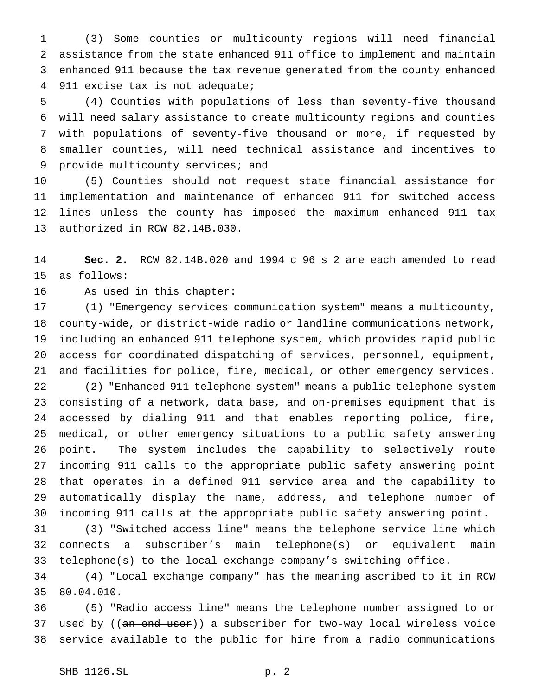(3) Some counties or multicounty regions will need financial assistance from the state enhanced 911 office to implement and maintain enhanced 911 because the tax revenue generated from the county enhanced 911 excise tax is not adequate;

 (4) Counties with populations of less than seventy-five thousand will need salary assistance to create multicounty regions and counties with populations of seventy-five thousand or more, if requested by smaller counties, will need technical assistance and incentives to 9 provide multicounty services; and

 (5) Counties should not request state financial assistance for implementation and maintenance of enhanced 911 for switched access lines unless the county has imposed the maximum enhanced 911 tax authorized in RCW 82.14B.030.

 **Sec. 2.** RCW 82.14B.020 and 1994 c 96 s 2 are each amended to read as follows:

As used in this chapter:

 (1) "Emergency services communication system" means a multicounty, county-wide, or district-wide radio or landline communications network, including an enhanced 911 telephone system, which provides rapid public access for coordinated dispatching of services, personnel, equipment, and facilities for police, fire, medical, or other emergency services. (2) "Enhanced 911 telephone system" means a public telephone system consisting of a network, data base, and on-premises equipment that is accessed by dialing 911 and that enables reporting police, fire, medical, or other emergency situations to a public safety answering point. The system includes the capability to selectively route incoming 911 calls to the appropriate public safety answering point that operates in a defined 911 service area and the capability to automatically display the name, address, and telephone number of incoming 911 calls at the appropriate public safety answering point.

 (3) "Switched access line" means the telephone service line which connects a subscriber's main telephone(s) or equivalent main telephone(s) to the local exchange company's switching office.

 (4) "Local exchange company" has the meaning ascribed to it in RCW 80.04.010.

 (5) "Radio access line" means the telephone number assigned to or 37 used by ((an end user)) a subscriber for two-way local wireless voice service available to the public for hire from a radio communications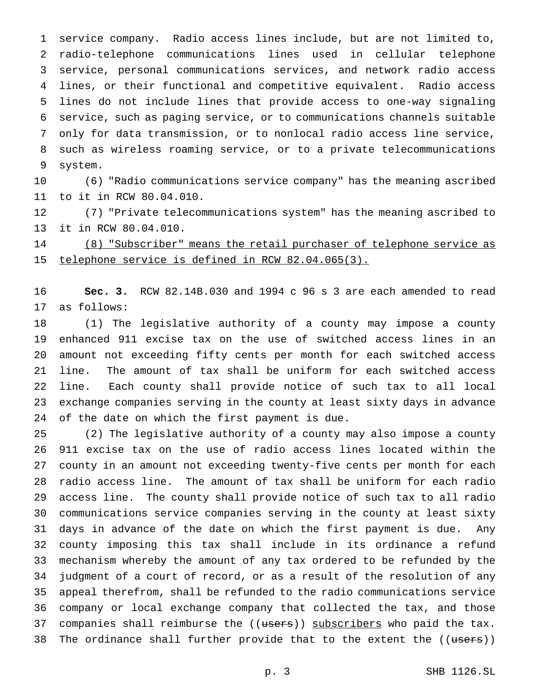service company. Radio access lines include, but are not limited to, radio-telephone communications lines used in cellular telephone service, personal communications services, and network radio access lines, or their functional and competitive equivalent. Radio access lines do not include lines that provide access to one-way signaling service, such as paging service, or to communications channels suitable only for data transmission, or to nonlocal radio access line service, such as wireless roaming service, or to a private telecommunications system.

 (6) "Radio communications service company" has the meaning ascribed to it in RCW 80.04.010.

 (7) "Private telecommunications system" has the meaning ascribed to it in RCW 80.04.010.

 (8) "Subscriber" means the retail purchaser of telephone service as telephone service is defined in RCW 82.04.065(3).

 **Sec. 3.** RCW 82.14B.030 and 1994 c 96 s 3 are each amended to read as follows:

 (1) The legislative authority of a county may impose a county enhanced 911 excise tax on the use of switched access lines in an amount not exceeding fifty cents per month for each switched access line. The amount of tax shall be uniform for each switched access line. Each county shall provide notice of such tax to all local exchange companies serving in the county at least sixty days in advance of the date on which the first payment is due.

 (2) The legislative authority of a county may also impose a county 911 excise tax on the use of radio access lines located within the county in an amount not exceeding twenty-five cents per month for each radio access line. The amount of tax shall be uniform for each radio access line. The county shall provide notice of such tax to all radio communications service companies serving in the county at least sixty days in advance of the date on which the first payment is due. Any county imposing this tax shall include in its ordinance a refund mechanism whereby the amount of any tax ordered to be refunded by the judgment of a court of record, or as a result of the resolution of any appeal therefrom, shall be refunded to the radio communications service company or local exchange company that collected the tax, and those 37 companies shall reimburse the ((users)) subscribers who paid the tax. 38 The ordinance shall further provide that to the extent the ((users))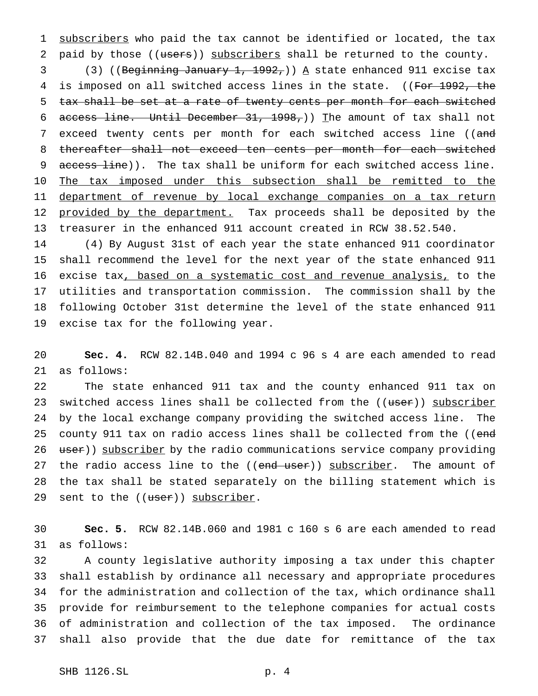1 subscribers who paid the tax cannot be identified or located, the tax 2 paid by those ((users)) subscribers shall be returned to the county.

3 (3) ((Beginning January 1, 1992,))  $\Delta$  state enhanced 911 excise tax 4 is imposed on all switched access lines in the state. ((For 1992, the 5 tax shall be set at a rate of twenty cents per month for each switched 6 access line. Until December 31, 1998,)) The amount of tax shall not 7 exceed twenty cents per month for each switched access line ((and 8 thereafter shall not exceed ten cents per month for each switched 9 access line)). The tax shall be uniform for each switched access line. 10 The tax imposed under this subsection shall be remitted to the 11 department of revenue by local exchange companies on a tax return 12 provided by the department. Tax proceeds shall be deposited by the 13 treasurer in the enhanced 911 account created in RCW 38.52.540.

 (4) By August 31st of each year the state enhanced 911 coordinator shall recommend the level for the next year of the state enhanced 911 16 excise tax, based on a systematic cost and revenue analysis, to the utilities and transportation commission. The commission shall by the following October 31st determine the level of the state enhanced 911 excise tax for the following year.

20 **Sec. 4.** RCW 82.14B.040 and 1994 c 96 s 4 are each amended to read 21 as follows:

22 The state enhanced 911 tax and the county enhanced 911 tax on 23 switched access lines shall be collected from the ((user)) subscriber 24 by the local exchange company providing the switched access line. The 25 county 911 tax on radio access lines shall be collected from the ((end 26 user)) subscriber by the radio communications service company providing 27 the radio access line to the ((end user)) subscriber. The amount of 28 the tax shall be stated separately on the billing statement which is 29 sent to the ((user)) subscriber.

30 **Sec. 5.** RCW 82.14B.060 and 1981 c 160 s 6 are each amended to read 31 as follows:

 A county legislative authority imposing a tax under this chapter shall establish by ordinance all necessary and appropriate procedures for the administration and collection of the tax, which ordinance shall provide for reimbursement to the telephone companies for actual costs of administration and collection of the tax imposed. The ordinance shall also provide that the due date for remittance of the tax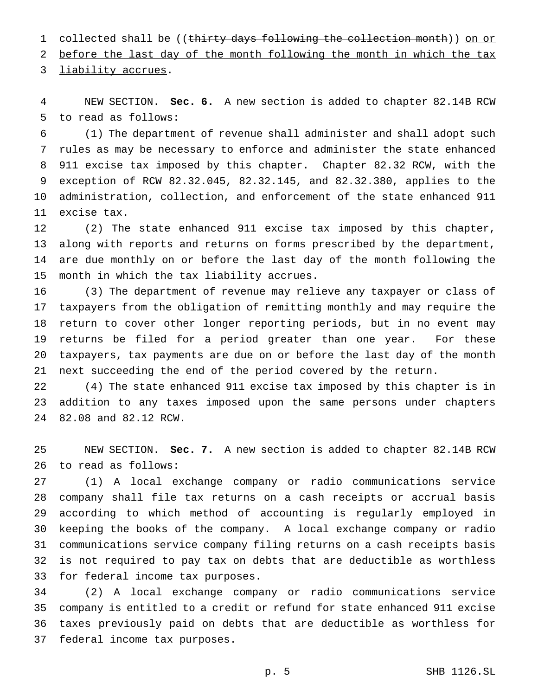1 collected shall be ((thirty days following the collection month)) on or

before the last day of the month following the month in which the tax

liability accrues.

 NEW SECTION. **Sec. 6.** A new section is added to chapter 82.14B RCW to read as follows:

 (1) The department of revenue shall administer and shall adopt such rules as may be necessary to enforce and administer the state enhanced 911 excise tax imposed by this chapter. Chapter 82.32 RCW, with the exception of RCW 82.32.045, 82.32.145, and 82.32.380, applies to the administration, collection, and enforcement of the state enhanced 911 excise tax.

 (2) The state enhanced 911 excise tax imposed by this chapter, along with reports and returns on forms prescribed by the department, are due monthly on or before the last day of the month following the month in which the tax liability accrues.

 (3) The department of revenue may relieve any taxpayer or class of taxpayers from the obligation of remitting monthly and may require the return to cover other longer reporting periods, but in no event may returns be filed for a period greater than one year. For these taxpayers, tax payments are due on or before the last day of the month next succeeding the end of the period covered by the return.

 (4) The state enhanced 911 excise tax imposed by this chapter is in addition to any taxes imposed upon the same persons under chapters 82.08 and 82.12 RCW.

 NEW SECTION. **Sec. 7.** A new section is added to chapter 82.14B RCW to read as follows:

 (1) A local exchange company or radio communications service company shall file tax returns on a cash receipts or accrual basis according to which method of accounting is regularly employed in keeping the books of the company. A local exchange company or radio communications service company filing returns on a cash receipts basis is not required to pay tax on debts that are deductible as worthless for federal income tax purposes.

 (2) A local exchange company or radio communications service company is entitled to a credit or refund for state enhanced 911 excise taxes previously paid on debts that are deductible as worthless for federal income tax purposes.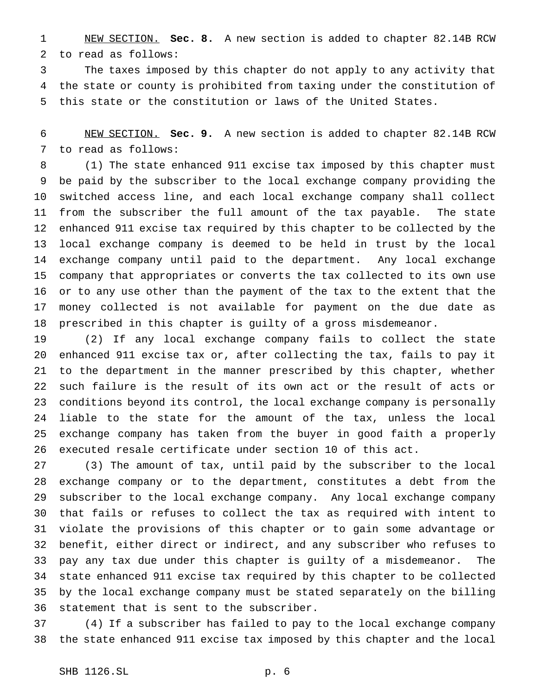NEW SECTION. **Sec. 8.** A new section is added to chapter 82.14B RCW to read as follows:

 The taxes imposed by this chapter do not apply to any activity that the state or county is prohibited from taxing under the constitution of this state or the constitution or laws of the United States.

 NEW SECTION. **Sec. 9.** A new section is added to chapter 82.14B RCW to read as follows:

 (1) The state enhanced 911 excise tax imposed by this chapter must be paid by the subscriber to the local exchange company providing the switched access line, and each local exchange company shall collect from the subscriber the full amount of the tax payable. The state enhanced 911 excise tax required by this chapter to be collected by the local exchange company is deemed to be held in trust by the local exchange company until paid to the department. Any local exchange company that appropriates or converts the tax collected to its own use or to any use other than the payment of the tax to the extent that the money collected is not available for payment on the due date as prescribed in this chapter is guilty of a gross misdemeanor.

 (2) If any local exchange company fails to collect the state enhanced 911 excise tax or, after collecting the tax, fails to pay it to the department in the manner prescribed by this chapter, whether such failure is the result of its own act or the result of acts or conditions beyond its control, the local exchange company is personally liable to the state for the amount of the tax, unless the local exchange company has taken from the buyer in good faith a properly executed resale certificate under section 10 of this act.

 (3) The amount of tax, until paid by the subscriber to the local exchange company or to the department, constitutes a debt from the subscriber to the local exchange company. Any local exchange company that fails or refuses to collect the tax as required with intent to violate the provisions of this chapter or to gain some advantage or benefit, either direct or indirect, and any subscriber who refuses to pay any tax due under this chapter is guilty of a misdemeanor. The state enhanced 911 excise tax required by this chapter to be collected by the local exchange company must be stated separately on the billing statement that is sent to the subscriber.

 (4) If a subscriber has failed to pay to the local exchange company the state enhanced 911 excise tax imposed by this chapter and the local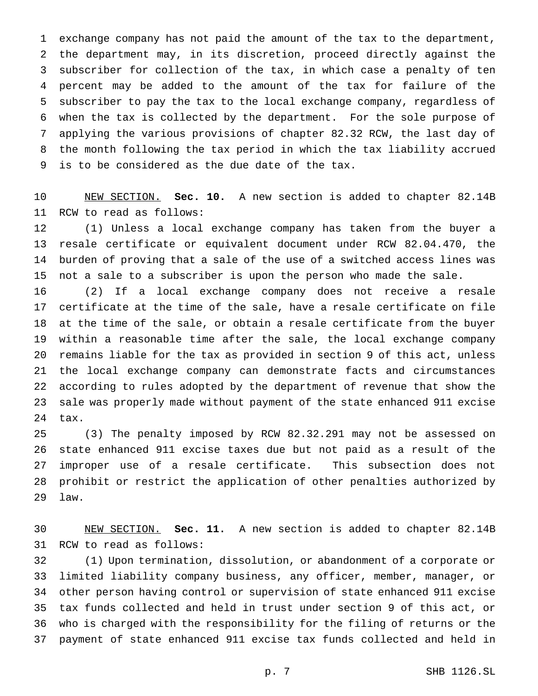exchange company has not paid the amount of the tax to the department, the department may, in its discretion, proceed directly against the subscriber for collection of the tax, in which case a penalty of ten percent may be added to the amount of the tax for failure of the subscriber to pay the tax to the local exchange company, regardless of when the tax is collected by the department. For the sole purpose of applying the various provisions of chapter 82.32 RCW, the last day of the month following the tax period in which the tax liability accrued is to be considered as the due date of the tax.

 NEW SECTION. **Sec. 10.** A new section is added to chapter 82.14B RCW to read as follows:

 (1) Unless a local exchange company has taken from the buyer a resale certificate or equivalent document under RCW 82.04.470, the burden of proving that a sale of the use of a switched access lines was not a sale to a subscriber is upon the person who made the sale.

 (2) If a local exchange company does not receive a resale certificate at the time of the sale, have a resale certificate on file at the time of the sale, or obtain a resale certificate from the buyer within a reasonable time after the sale, the local exchange company remains liable for the tax as provided in section 9 of this act, unless the local exchange company can demonstrate facts and circumstances according to rules adopted by the department of revenue that show the sale was properly made without payment of the state enhanced 911 excise tax.

 (3) The penalty imposed by RCW 82.32.291 may not be assessed on state enhanced 911 excise taxes due but not paid as a result of the improper use of a resale certificate. This subsection does not prohibit or restrict the application of other penalties authorized by law.

 NEW SECTION. **Sec. 11.** A new section is added to chapter 82.14B RCW to read as follows:

 (1) Upon termination, dissolution, or abandonment of a corporate or limited liability company business, any officer, member, manager, or other person having control or supervision of state enhanced 911 excise tax funds collected and held in trust under section 9 of this act, or who is charged with the responsibility for the filing of returns or the payment of state enhanced 911 excise tax funds collected and held in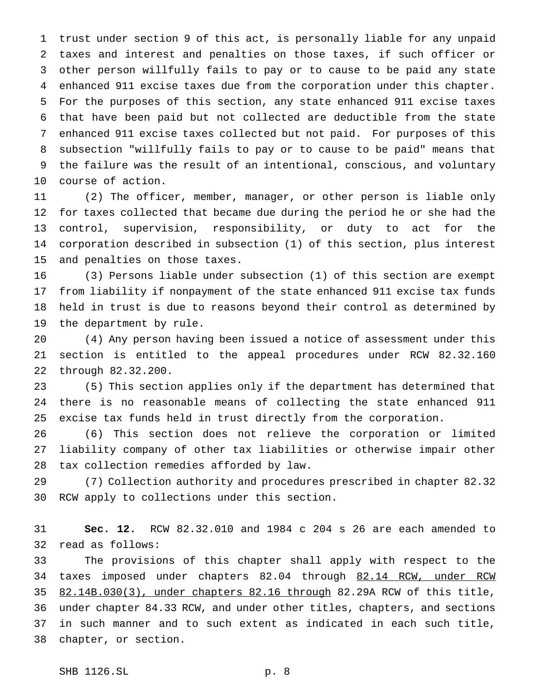trust under section 9 of this act, is personally liable for any unpaid taxes and interest and penalties on those taxes, if such officer or other person willfully fails to pay or to cause to be paid any state enhanced 911 excise taxes due from the corporation under this chapter. For the purposes of this section, any state enhanced 911 excise taxes that have been paid but not collected are deductible from the state enhanced 911 excise taxes collected but not paid. For purposes of this subsection "willfully fails to pay or to cause to be paid" means that the failure was the result of an intentional, conscious, and voluntary course of action.

 (2) The officer, member, manager, or other person is liable only for taxes collected that became due during the period he or she had the control, supervision, responsibility, or duty to act for the corporation described in subsection (1) of this section, plus interest and penalties on those taxes.

 (3) Persons liable under subsection (1) of this section are exempt from liability if nonpayment of the state enhanced 911 excise tax funds held in trust is due to reasons beyond their control as determined by the department by rule.

 (4) Any person having been issued a notice of assessment under this section is entitled to the appeal procedures under RCW 82.32.160 through 82.32.200.

 (5) This section applies only if the department has determined that there is no reasonable means of collecting the state enhanced 911 excise tax funds held in trust directly from the corporation.

 (6) This section does not relieve the corporation or limited liability company of other tax liabilities or otherwise impair other tax collection remedies afforded by law.

 (7) Collection authority and procedures prescribed in chapter 82.32 RCW apply to collections under this section.

 **Sec. 12.** RCW 82.32.010 and 1984 c 204 s 26 are each amended to read as follows:

 The provisions of this chapter shall apply with respect to the 34 taxes imposed under chapters 82.04 through 82.14 RCW, under RCW 82.14B.030(3), under chapters 82.16 through 82.29A RCW of this title, under chapter 84.33 RCW, and under other titles, chapters, and sections in such manner and to such extent as indicated in each such title, chapter, or section.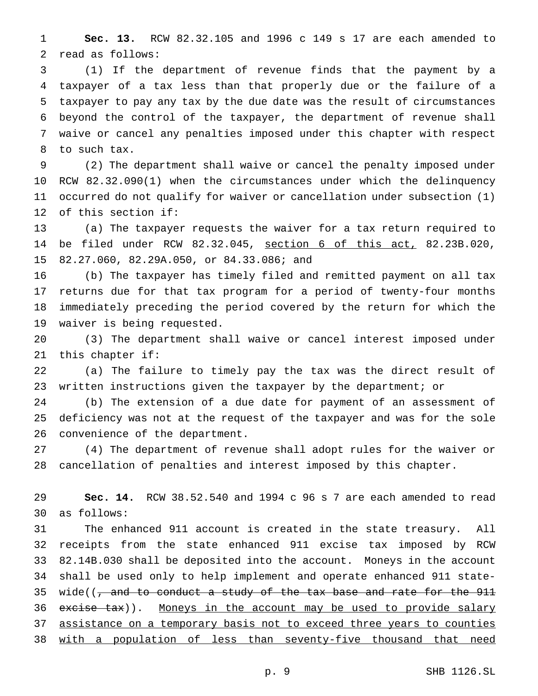**Sec. 13.** RCW 82.32.105 and 1996 c 149 s 17 are each amended to read as follows:

 (1) If the department of revenue finds that the payment by a taxpayer of a tax less than that properly due or the failure of a taxpayer to pay any tax by the due date was the result of circumstances beyond the control of the taxpayer, the department of revenue shall waive or cancel any penalties imposed under this chapter with respect to such tax.

 (2) The department shall waive or cancel the penalty imposed under RCW 82.32.090(1) when the circumstances under which the delinquency occurred do not qualify for waiver or cancellation under subsection (1) of this section if:

 (a) The taxpayer requests the waiver for a tax return required to be filed under RCW 82.32.045, section 6 of this act, 82.23B.020, 82.27.060, 82.29A.050, or 84.33.086; and

 (b) The taxpayer has timely filed and remitted payment on all tax returns due for that tax program for a period of twenty-four months immediately preceding the period covered by the return for which the waiver is being requested.

 (3) The department shall waive or cancel interest imposed under this chapter if:

 (a) The failure to timely pay the tax was the direct result of written instructions given the taxpayer by the department; or

 (b) The extension of a due date for payment of an assessment of deficiency was not at the request of the taxpayer and was for the sole convenience of the department.

 (4) The department of revenue shall adopt rules for the waiver or cancellation of penalties and interest imposed by this chapter.

 **Sec. 14.** RCW 38.52.540 and 1994 c 96 s 7 are each amended to read as follows:

 The enhanced 911 account is created in the state treasury. All receipts from the state enhanced 911 excise tax imposed by RCW 82.14B.030 shall be deposited into the account. Moneys in the account shall be used only to help implement and operate enhanced 911 state-35 wide((, and to conduct a study of the tax base and rate for the 911 36 excise tax)). Moneys in the account may be used to provide salary 37 assistance on a temporary basis not to exceed three years to counties 38 with a population of less than seventy-five thousand that need